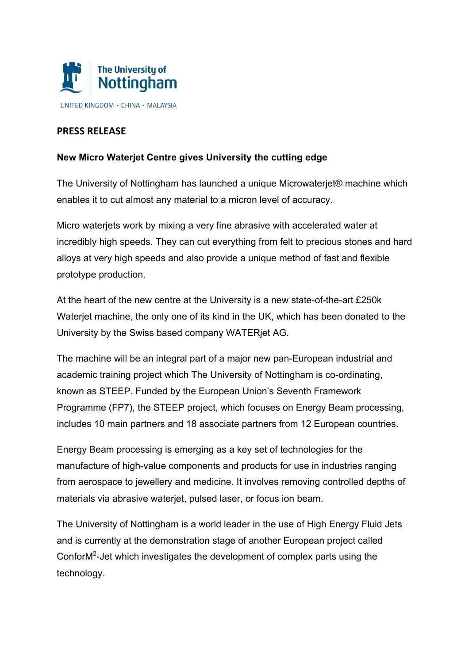

## **PRESS RELEASE**

## **New Micro Waterjet Centre gives University the cutting edge**

The University of Nottingham has launched a unique Microwaterjet® machine which enables it to cut almost any material to a micron level of accuracy.

Micro waterjets work by mixing a very fine abrasive with accelerated water at incredibly high speeds. They can cut everything from felt to precious stones and hard alloys at very high speeds and also provide a unique method of fast and flexible prototype production.

At the heart of the new centre at the University is a new state-of-the-art £250k Waterjet machine, the only one of its kind in the UK, which has been donated to the University by the Swiss based company WATERjet AG.

The machine will be an integral part of a major new pan-European industrial and academic training project which The University of Nottingham is co-ordinating, known as STEEP. Funded by the European Union's Seventh Framework Programme (FP7), the STEEP project, which focuses on Energy Beam processing, includes 10 main partners and 18 associate partners from 12 European countries.

Energy Beam processing is emerging as a key set of technologies for the manufacture of high-value components and products for use in industries ranging from aerospace to jewellery and medicine. It involves removing controlled depths of materials via abrasive waterjet, pulsed laser, or focus ion beam.

The University of Nottingham is a world leader in the use of High Energy Fluid Jets and is currently at the demonstration stage of another European project called Confor $M^2$ -Jet which investigates the development of complex parts using the technology.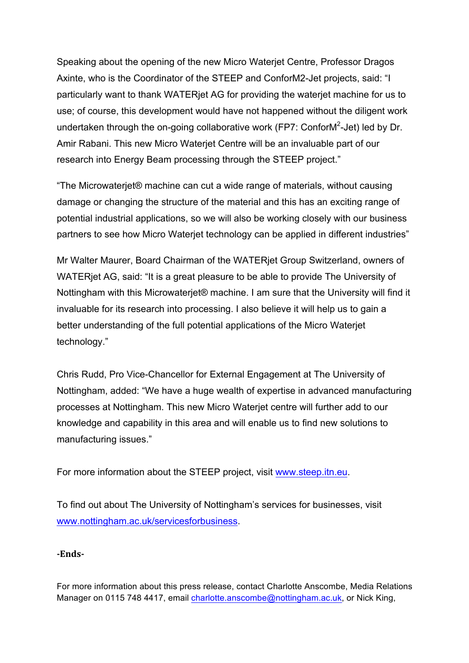Speaking about the opening of the new Micro Waterjet Centre, Professor Dragos Axinte, who is the Coordinator of the STEEP and ConforM2-Jet projects, said: "I particularly want to thank WATERjet AG for providing the waterjet machine for us to use; of course, this development would have not happened without the diligent work undertaken through the on-going collaborative work (FP7: ConforM<sup>2</sup>-Jet) led by Dr. Amir Rabani. This new Micro Waterjet Centre will be an invaluable part of our research into Energy Beam processing through the STEEP project."

"The Microwaterjet® machine can cut a wide range of materials, without causing damage or changing the structure of the material and this has an exciting range of potential industrial applications, so we will also be working closely with our business partners to see how Micro Waterjet technology can be applied in different industries"

Mr Walter Maurer, Board Chairman of the WATERjet Group Switzerland, owners of WATERjet AG, said: "It is a great pleasure to be able to provide The University of Nottingham with this Microwaterjet® machine. I am sure that the University will find it invaluable for its research into processing. I also believe it will help us to gain a better understanding of the full potential applications of the Micro Waterjet technology."

Chris Rudd, Pro Vice-Chancellor for External Engagement at The University of Nottingham, added: "We have a huge wealth of expertise in advanced manufacturing processes at Nottingham. This new Micro Waterjet centre will further add to our knowledge and capability in this area and will enable us to find new solutions to manufacturing issues."

For more information about the STEEP project, visit www.steep.itn.eu.

To find out about The University of Nottingham's services for businesses, visit www.nottingham.ac.uk/servicesforbusiness.

## **-Ends-**

For more information about this press release, contact Charlotte Anscombe, Media Relations Manager on 0115 748 4417, email charlotte.anscombe@nottingham.ac.uk, or Nick King,